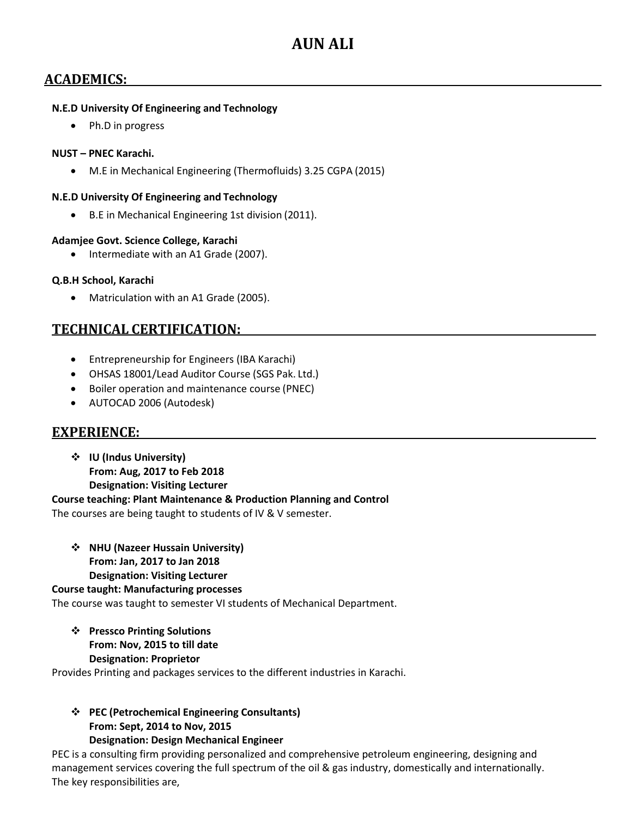# **ACADEMICS:**

### **N.E.D University Of Engineering and Technology**

• Ph.D in progress

### **NUST – PNEC Karachi.**

M.E in Mechanical Engineering (Thermofluids) 3.25 CGPA (2015)

### **N.E.D University Of Engineering and Technology**

B.E in Mechanical Engineering 1st division (2011).

### **Adamjee Govt. Science College, Karachi**

• Intermediate with an A1 Grade (2007).

### **Q.B.H School, Karachi**

Matriculation with an A1 Grade (2005).

## **TECHNICAL CERTIFICATION:**

- Entrepreneurship for Engineers (IBA Karachi)
- OHSAS 18001/Lead Auditor Course (SGS Pak. Ltd.)
- Boiler operation and maintenance course (PNEC)
- AUTOCAD 2006 (Autodesk)

## **EXPERIENCE:**

 **IU (Indus University) From: Aug, 2017 to Feb 2018 Designation: Visiting Lecturer** 

**Course teaching: Plant Maintenance & Production Planning and Control**

The courses are being taught to students of IV & V semester.

 **NHU (Nazeer Hussain University) From: Jan, 2017 to Jan 2018 Designation: Visiting Lecturer**

**Course taught: Manufacturing processes**

The course was taught to semester VI students of Mechanical Department.

 **Pressco Printing Solutions From: Nov, 2015 to till date Designation: Proprietor**

Provides Printing and packages services to the different industries in Karachi.

 **PEC (Petrochemical Engineering Consultants) From: Sept, 2014 to Nov, 2015 Designation: Design Mechanical Engineer**

PEC is a consulting firm providing personalized and comprehensive petroleum engineering, designing and management services covering the full spectrum of the oil & gas industry, domestically and internationally. The key responsibilities are,